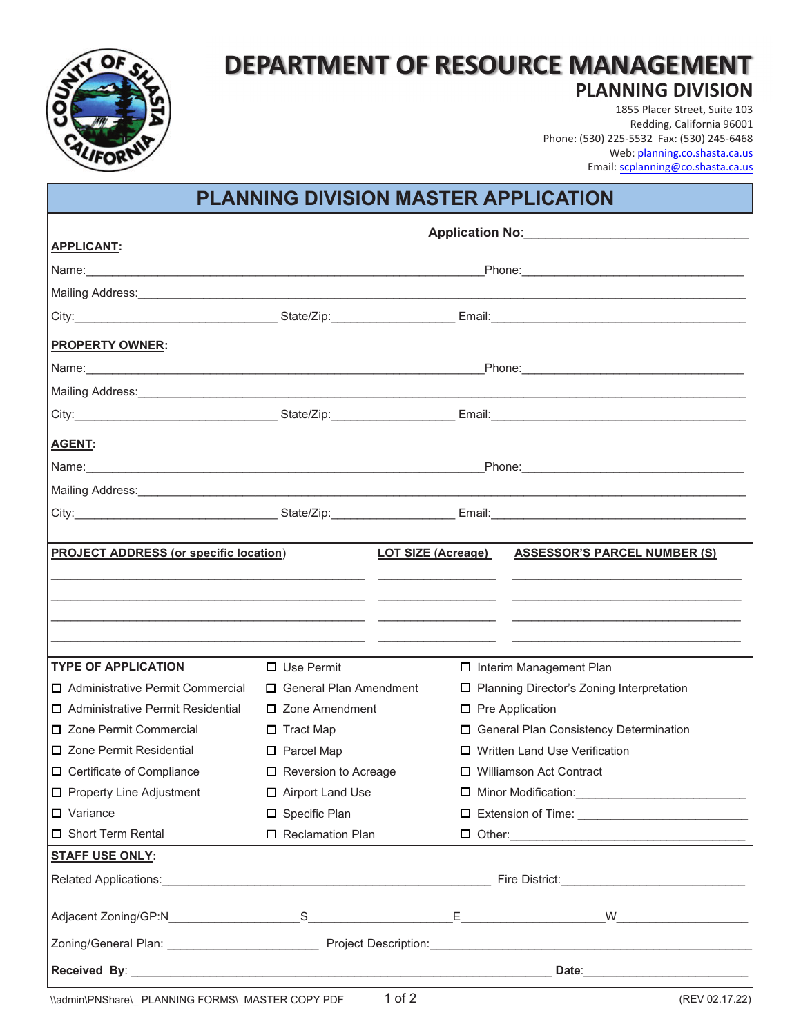

# **DEPARTMENT OF RESOURCE MANAGEMENT PLANNING DIVISION**

1855 Placer Street, Suite 103 Redding, California 96001 Phone: (530) 225-5532 Fax: (530) 245-6468 Web: planning[.co.shasta.ca.us](https://www.co.shasta.ca.us/index/drm/planning) Email: scplanning@co.shasta.ca.us

## **PLANNING DIVISION MASTER APPLICATION**

|                                                                                                                                                                                                                                     | Application No: <u>Contract of Application</u> |                                             |                                     |  |
|-------------------------------------------------------------------------------------------------------------------------------------------------------------------------------------------------------------------------------------|------------------------------------------------|---------------------------------------------|-------------------------------------|--|
| <b>APPLICANT:</b>                                                                                                                                                                                                                   |                                                |                                             |                                     |  |
|                                                                                                                                                                                                                                     |                                                |                                             |                                     |  |
|                                                                                                                                                                                                                                     |                                                |                                             |                                     |  |
|                                                                                                                                                                                                                                     |                                                |                                             |                                     |  |
| <b>PROPERTY OWNER:</b>                                                                                                                                                                                                              |                                                |                                             |                                     |  |
|                                                                                                                                                                                                                                     |                                                |                                             |                                     |  |
|                                                                                                                                                                                                                                     |                                                |                                             |                                     |  |
|                                                                                                                                                                                                                                     |                                                |                                             |                                     |  |
| <b>AGENT:</b>                                                                                                                                                                                                                       |                                                |                                             |                                     |  |
|                                                                                                                                                                                                                                     |                                                |                                             |                                     |  |
| Mailing Address: <u>Communications</u> Contract and Contract and Contract and Contract and Contract and Contract and Contract and Contract and Contract and Contract and Contract and Contract and Contract and Contract and Contra |                                                |                                             |                                     |  |
|                                                                                                                                                                                                                                     |                                                |                                             |                                     |  |
|                                                                                                                                                                                                                                     |                                                |                                             |                                     |  |
| <b>PROJECT ADDRESS (or specific location)</b>                                                                                                                                                                                       |                                                | <b>LOT SIZE (Acreage)</b>                   | <b>ASSESSOR'S PARCEL NUMBER (S)</b> |  |
|                                                                                                                                                                                                                                     |                                                |                                             |                                     |  |
|                                                                                                                                                                                                                                     |                                                |                                             |                                     |  |
|                                                                                                                                                                                                                                     |                                                |                                             |                                     |  |
|                                                                                                                                                                                                                                     |                                                |                                             |                                     |  |
| <b>TYPE OF APPLICATION</b>                                                                                                                                                                                                          | $\Box$ Use Permit                              | □ Interim Management Plan                   |                                     |  |
| □ Administrative Permit Commercial                                                                                                                                                                                                  | $\Box$ General Plan Amendment                  | □ Planning Director's Zoning Interpretation |                                     |  |
| □ Administrative Permit Residential                                                                                                                                                                                                 | $\Box$ Zone Amendment                          | $\Box$ Pre Application                      |                                     |  |
| □ Zone Permit Commercial                                                                                                                                                                                                            | $\Box$ Tract Map                               | □ General Plan Consistency Determination    |                                     |  |
| □ Zone Permit Residential                                                                                                                                                                                                           | $\square$ Parcel Map                           | $\Box$ Written Land Use Verification        |                                     |  |
| $\Box$ Certificate of Compliance                                                                                                                                                                                                    | $\Box$ Reversion to Acreage                    | □ Williamson Act Contract                   |                                     |  |
| $\Box$ Property Line Adjustment                                                                                                                                                                                                     | □ Airport Land Use                             | □ Minor Modification:                       |                                     |  |
| $\Box$ Variance                                                                                                                                                                                                                     | □ Specific Plan                                |                                             |                                     |  |
| □ Short Term Rental                                                                                                                                                                                                                 | □ Reclamation Plan                             |                                             |                                     |  |
| <b>STAFF USE ONLY:</b>                                                                                                                                                                                                              |                                                |                                             |                                     |  |
|                                                                                                                                                                                                                                     |                                                |                                             |                                     |  |
|                                                                                                                                                                                                                                     |                                                |                                             |                                     |  |
|                                                                                                                                                                                                                                     |                                                |                                             |                                     |  |
|                                                                                                                                                                                                                                     |                                                |                                             |                                     |  |
|                                                                                                                                                                                                                                     |                                                |                                             |                                     |  |